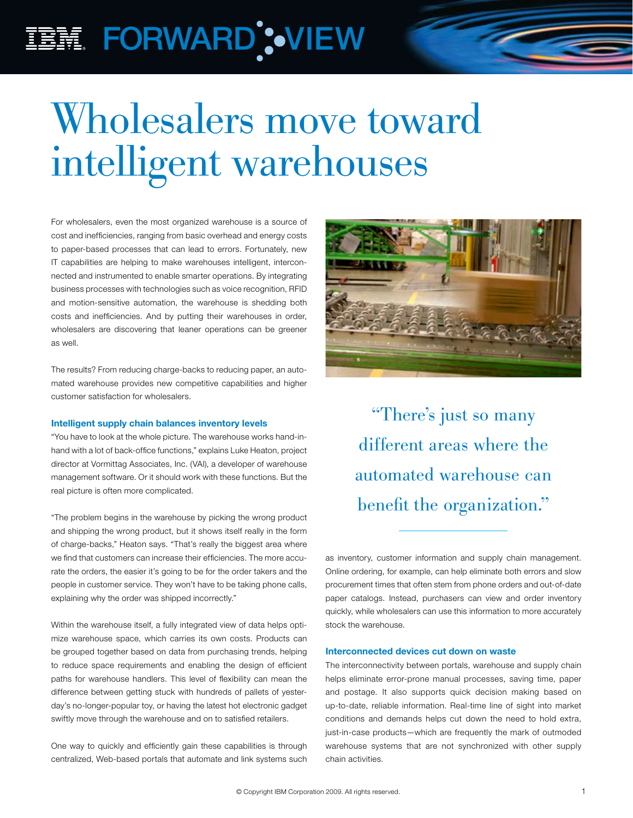## IBM FORWARD';•VIEW

# Wholesalers move toward intelligent warehouses

For wholesalers, even the most organized warehouse is a source of cost and inefficiencies, ranging from basic overhead and energy costs to paper-based processes that can lead to errors. Fortunately, new IT capabilities are helping to make warehouses intelligent, interconnected and instrumented to enable smarter operations. By integrating business processes with technologies such as voice recognition, RFID and motion-sensitive automation, the warehouse is shedding both costs and inefficiencies. And by putting their warehouses in order, wholesalers are discovering that leaner operations can be greener as well.

The results? From reducing charge-backs to reducing paper, an automated warehouse provides new competitive capabilities and higher customer satisfaction for wholesalers.

### Intelligent supply chain balances inventory levels

"You have to look at the whole picture. The warehouse works hand-inhand with a lot of back-office functions," explains Luke Heaton, project director at Vormittag Associates, Inc. (VAI), a developer of warehouse management software. Or it should work with these functions. But the real picture is often more complicated.

"The problem begins in the warehouse by picking the wrong product and shipping the wrong product, but it shows itself really in the form of charge-backs," Heaton says. "That's really the biggest area where we find that customers can increase their efficiencies. The more accurate the orders, the easier it's going to be for the order takers and the people in customer service. They won't have to be taking phone calls, explaining why the order was shipped incorrectly."

Within the warehouse itself, a fully integrated view of data helps optimize warehouse space, which carries its own costs. Products can be grouped together based on data from purchasing trends, helping to reduce space requirements and enabling the design of efficient paths for warehouse handlers. This level of flexibility can mean the difference between getting stuck with hundreds of pallets of yesterday's no-longer-popular toy, or having the latest hot electronic gadget swiftly move through the warehouse and on to satisfied retailers.

One way to quickly and efficiently gain these capabilities is through centralized, Web-based portals that automate and link systems such



"There's just so many different areas where the automated warehouse can benefit the organization."

as inventory, customer information and supply chain management. Online ordering, for example, can help eliminate both errors and slow procurement times that often stem from phone orders and out-of-date paper catalogs. Instead, purchasers can view and order inventory quickly, while wholesalers can use this information to more accurately stock the warehouse.

### Interconnected devices cut down on waste

The interconnectivity between portals, warehouse and supply chain helps eliminate error-prone manual processes, saving time, paper and postage. It also supports quick decision making based on up-to-date, reliable information. Real-time line of sight into market conditions and demands helps cut down the need to hold extra, just-in-case products—which are frequently the mark of outmoded warehouse systems that are not synchronized with other supply chain activities.